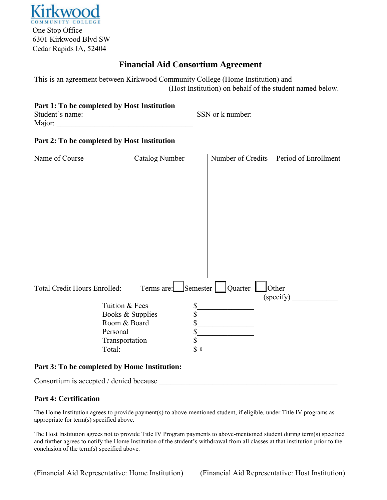

# **Financial Aid Consortium Agreement**

This is an agreement between Kirkwood Community College (Home Institution) and \_\_\_\_\_\_\_\_\_\_\_\_\_\_\_\_\_\_\_\_\_\_\_\_\_\_\_\_\_\_\_\_\_\_\_ (Host Institution) on behalf of the student named below.

### **Part 1: To be completed by Host Institution**

| Student's name: | SSN or k number: |  |
|-----------------|------------------|--|
| Major:          |                  |  |

### **Part 2: To be completed by Host Institution**

| Name of Course                                                               | <b>Catalog Number</b> | Number of Credits | Period of Enrollment |  |  |
|------------------------------------------------------------------------------|-----------------------|-------------------|----------------------|--|--|
|                                                                              |                       |                   |                      |  |  |
|                                                                              |                       |                   |                      |  |  |
|                                                                              |                       |                   |                      |  |  |
|                                                                              |                       |                   |                      |  |  |
|                                                                              |                       |                   |                      |  |  |
|                                                                              |                       |                   |                      |  |  |
|                                                                              |                       |                   |                      |  |  |
|                                                                              |                       |                   |                      |  |  |
|                                                                              |                       |                   |                      |  |  |
|                                                                              |                       |                   |                      |  |  |
|                                                                              |                       |                   |                      |  |  |
|                                                                              |                       |                   |                      |  |  |
|                                                                              |                       |                   |                      |  |  |
| Total Credit Hours Enrolled: Terms are: Semester   Quarter  <br>$\Box$ Other |                       |                   |                      |  |  |
|                                                                              |                       |                   | (specify)            |  |  |
| Tuition & Fees                                                               | \$                    |                   |                      |  |  |
| Books & Supplies                                                             | \$                    |                   |                      |  |  |
| Room & Board                                                                 |                       |                   |                      |  |  |
| Personal                                                                     |                       |                   |                      |  |  |
| Transportation                                                               | \$                    |                   |                      |  |  |
| Total:                                                                       | $\int 0$              |                   |                      |  |  |

### **Part 3: To be completed by Home Institution:**

Consortium is accepted / denied because

#### **Part 4: Certification**

The Home Institution agrees to provide payment(s) to above-mentioned student, if eligible, under Title IV programs as appropriate for term(s) specified above.

The Host Institution agrees not to provide Title IV Program payments to above-mentioned student during term(s) specified and further agrees to notify the Home Institution of the student's withdrawal from all classes at that institution prior to the conclusion of the term(s) specified above.

 $\_$  , and the set of the set of the set of the set of the set of the set of the set of the set of the set of the set of the set of the set of the set of the set of the set of the set of the set of the set of the set of th